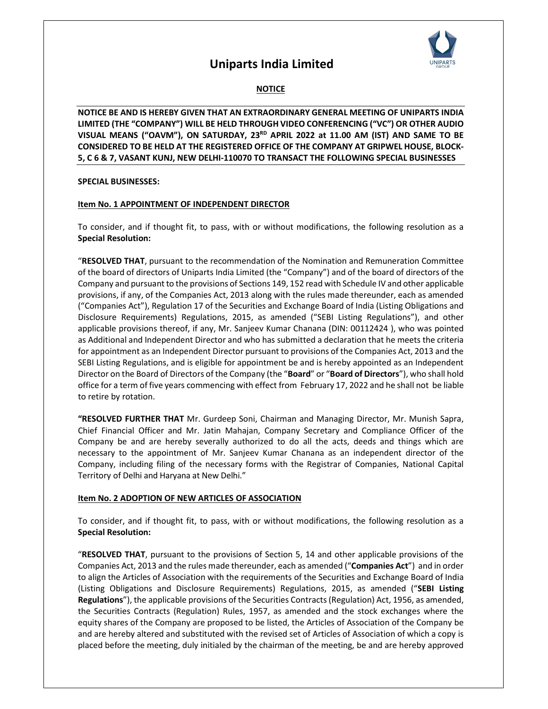

### **NOTICE**

**NOTICE BE AND IS HEREBY GIVEN THAT AN EXTRAORDINARY GENERAL MEETING OF UNIPARTS INDIA LIMITED (THE "COMPANY") WILL BE HELD THROUGH VIDEO CONFERENCING ("VC") OR OTHER AUDIO VISUAL MEANS ("OAVM"), ON SATURDAY, 23RD APRIL 2022 at 11.00 AM (IST) AND SAME TO BE CONSIDERED TO BE HELD AT THE REGISTERED OFFICE OF THE COMPANY AT GRIPWEL HOUSE, BLOCK-5, C 6 & 7, VASANT KUNJ, NEW DELHI-110070 TO TRANSACT THE FOLLOWING SPECIAL BUSINESSES** 

#### **SPECIAL BUSINESSES:**

#### **Item No. 1 APPOINTMENT OF INDEPENDENT DIRECTOR**

To consider, and if thought fit, to pass, with or without modifications, the following resolution as a **Special Resolution:** 

"**RESOLVED THAT**, pursuant to the recommendation of the Nomination and Remuneration Committee of the board of directors of Uniparts India Limited (the "Company") and of the board of directors of the Company and pursuant to the provisions of Sections 149, 152 read with Schedule IV and other applicable provisions, if any, of the Companies Act, 2013 along with the rules made thereunder, each as amended ("Companies Act"), Regulation 17 of the Securities and Exchange Board of India (Listing Obligations and Disclosure Requirements) Regulations, 2015, as amended ("SEBI Listing Regulations"), and other applicable provisions thereof, if any, Mr. Sanjeev Kumar Chanana (DIN: 00112424 ), who was pointed as Additional and Independent Director and who has submitted a declaration that he meets the criteria for appointment as an Independent Director pursuant to provisions of the Companies Act, 2013 and the SEBI Listing Regulations, and is eligible for appointment be and is hereby appointed as an Independent Director on the Board of Directors of the Company (the "**Board**" or "**Board of Directors**"), who shall hold office for a term of five years commencing with effect from February 17, 2022 and he shall not be liable to retire by rotation.

**"RESOLVED FURTHER THAT** Mr. Gurdeep Soni, Chairman and Managing Director, Mr. Munish Sapra, Chief Financial Officer and Mr. Jatin Mahajan, Company Secretary and Compliance Officer of the Company be and are hereby severally authorized to do all the acts, deeds and things which are necessary to the appointment of Mr. Sanjeev Kumar Chanana as an independent director of the Company, including filing of the necessary forms with the Registrar of Companies, National Capital Territory of Delhi and Haryana at New Delhi."

#### **Item No. 2 ADOPTION OF NEW ARTICLES OF ASSOCIATION**

To consider, and if thought fit, to pass, with or without modifications, the following resolution as a **Special Resolution:** 

"**RESOLVED THAT**, pursuant to the provisions of Section 5, 14 and other applicable provisions of the Companies Act, 2013 and the rules made thereunder, each as amended ("**Companies Act**") and in order to align the Articles of Association with the requirements of the Securities and Exchange Board of India (Listing Obligations and Disclosure Requirements) Regulations, 2015, as amended ("**SEBI Listing Regulations**"), the applicable provisions of the Securities Contracts (Regulation) Act, 1956, as amended, the Securities Contracts (Regulation) Rules, 1957, as amended and the stock exchanges where the equity shares of the Company are proposed to be listed, the Articles of Association of the Company be and are hereby altered and substituted with the revised set of Articles of Association of which a copy is placed before the meeting, duly initialed by the chairman of the meeting, be and are hereby approved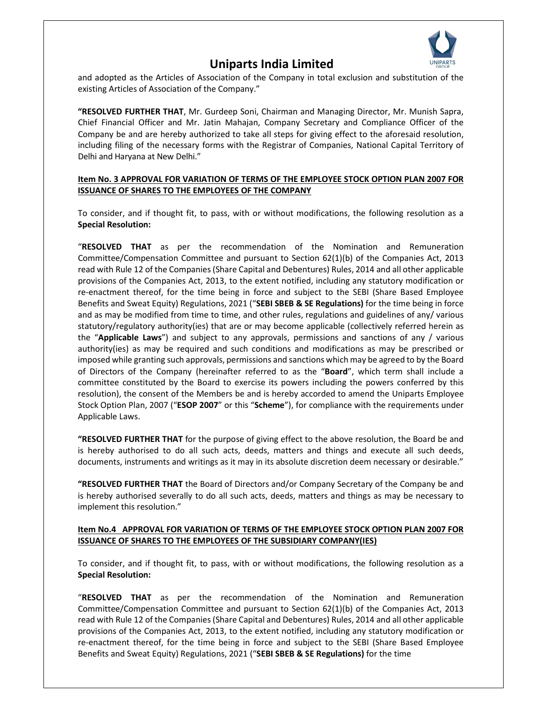

and adopted as the Articles of Association of the Company in total exclusion and substitution of the existing Articles of Association of the Company."

**"RESOLVED FURTHER THAT**, Mr. Gurdeep Soni, Chairman and Managing Director, Mr. Munish Sapra, Chief Financial Officer and Mr. Jatin Mahajan, Company Secretary and Compliance Officer of the Company be and are hereby authorized to take all steps for giving effect to the aforesaid resolution, including filing of the necessary forms with the Registrar of Companies, National Capital Territory of Delhi and Haryana at New Delhi."

#### **Item No. 3 APPROVAL FOR VARIATION OF TERMS OF THE EMPLOYEE STOCK OPTION PLAN 2007 FOR ISSUANCE OF SHARES TO THE EMPLOYEES OF THE COMPANY**

To consider, and if thought fit, to pass, with or without modifications, the following resolution as a **Special Resolution:**

"**RESOLVED THAT** as per the recommendation of the Nomination and Remuneration Committee/Compensation Committee and pursuant to Section 62(1)(b) of the Companies Act, 2013 read with Rule 12 of the Companies (Share Capital and Debentures) Rules, 2014 and all other applicable provisions of the Companies Act, 2013, to the extent notified, including any statutory modification or re-enactment thereof, for the time being in force and subject to the SEBI (Share Based Employee Benefits and Sweat Equity) Regulations, 2021 ("**SEBI SBEB & SE Regulations)** for the time being in force and as may be modified from time to time, and other rules, regulations and guidelines of any/ various statutory/regulatory authority(ies) that are or may become applicable (collectively referred herein as the "**Applicable Laws**") and subject to any approvals, permissions and sanctions of any / various authority(ies) as may be required and such conditions and modifications as may be prescribed or imposed while granting such approvals, permissions and sanctions which may be agreed to by the Board of Directors of the Company (hereinafter referred to as the "**Board**", which term shall include a committee constituted by the Board to exercise its powers including the powers conferred by this resolution), the consent of the Members be and is hereby accorded to amend the Uniparts Employee Stock Option Plan, 2007 ("**ESOP 2007**" or this "**Scheme**"), for compliance with the requirements under Applicable Laws.

**"RESOLVED FURTHER THAT** for the purpose of giving effect to the above resolution, the Board be and is hereby authorised to do all such acts, deeds, matters and things and execute all such deeds, documents, instruments and writings as it may in its absolute discretion deem necessary or desirable."

**"RESOLVED FURTHER THAT** the Board of Directors and/or Company Secretary of the Company be and is hereby authorised severally to do all such acts, deeds, matters and things as may be necessary to implement this resolution."

#### **Item No.4 APPROVAL FOR VARIATION OF TERMS OF THE EMPLOYEE STOCK OPTION PLAN 2007 FOR ISSUANCE OF SHARES TO THE EMPLOYEES OF THE SUBSIDIARY COMPANY(IES)**

To consider, and if thought fit, to pass, with or without modifications, the following resolution as a **Special Resolution:**

"**RESOLVED THAT** as per the recommendation of the Nomination and Remuneration Committee/Compensation Committee and pursuant to Section 62(1)(b) of the Companies Act, 2013 read with Rule 12 of the Companies (Share Capital and Debentures) Rules, 2014 and all other applicable provisions of the Companies Act, 2013, to the extent notified, including any statutory modification or re-enactment thereof, for the time being in force and subject to the SEBI (Share Based Employee Benefits and Sweat Equity) Regulations, 2021 ("**SEBI SBEB & SE Regulations)** for the time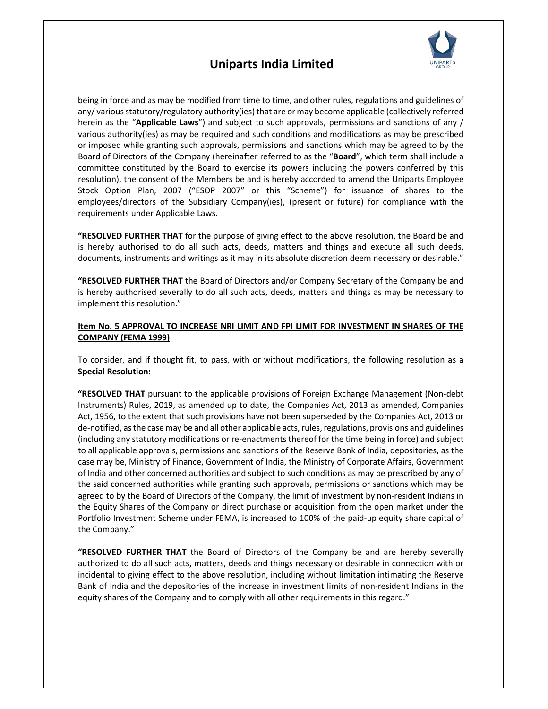

being in force and as may be modified from time to time, and other rules, regulations and guidelines of any/ various statutory/regulatory authority(ies) that are or may become applicable (collectively referred herein as the "**Applicable Laws**") and subject to such approvals, permissions and sanctions of any / various authority(ies) as may be required and such conditions and modifications as may be prescribed or imposed while granting such approvals, permissions and sanctions which may be agreed to by the Board of Directors of the Company (hereinafter referred to as the "**Board**", which term shall include a committee constituted by the Board to exercise its powers including the powers conferred by this resolution), the consent of the Members be and is hereby accorded to amend the Uniparts Employee Stock Option Plan, 2007 ("ESOP 2007" or this "Scheme") for issuance of shares to the employees/directors of the Subsidiary Company(ies), (present or future) for compliance with the requirements under Applicable Laws.

**"RESOLVED FURTHER THAT** for the purpose of giving effect to the above resolution, the Board be and is hereby authorised to do all such acts, deeds, matters and things and execute all such deeds, documents, instruments and writings as it may in its absolute discretion deem necessary or desirable."

**"RESOLVED FURTHER THAT** the Board of Directors and/or Company Secretary of the Company be and is hereby authorised severally to do all such acts, deeds, matters and things as may be necessary to implement this resolution."

#### **Item No. 5 APPROVAL TO INCREASE NRI LIMIT AND FPI LIMIT FOR INVESTMENT IN SHARES OF THE COMPANY (FEMA 1999)**

To consider, and if thought fit, to pass, with or without modifications, the following resolution as a **Special Resolution:**

**"RESOLVED THAT** pursuant to the applicable provisions of Foreign Exchange Management (Non-debt Instruments) Rules, 2019, as amended up to date, the Companies Act, 2013 as amended, Companies Act, 1956, to the extent that such provisions have not been superseded by the Companies Act, 2013 or de-notified, as the case may be and all other applicable acts, rules, regulations, provisions and guidelines (including any statutory modifications or re-enactments thereof for the time being in force) and subject to all applicable approvals, permissions and sanctions of the Reserve Bank of India, depositories, as the case may be, Ministry of Finance, Government of India, the Ministry of Corporate Affairs, Government of India and other concerned authorities and subject to such conditions as may be prescribed by any of the said concerned authorities while granting such approvals, permissions or sanctions which may be agreed to by the Board of Directors of the Company, the limit of investment by non-resident Indians in the Equity Shares of the Company or direct purchase or acquisition from the open market under the Portfolio Investment Scheme under FEMA, is increased to 100% of the paid-up equity share capital of the Company."

**"RESOLVED FURTHER THAT** the Board of Directors of the Company be and are hereby severally authorized to do all such acts, matters, deeds and things necessary or desirable in connection with or incidental to giving effect to the above resolution, including without limitation intimating the Reserve Bank of India and the depositories of the increase in investment limits of non-resident Indians in the equity shares of the Company and to comply with all other requirements in this regard."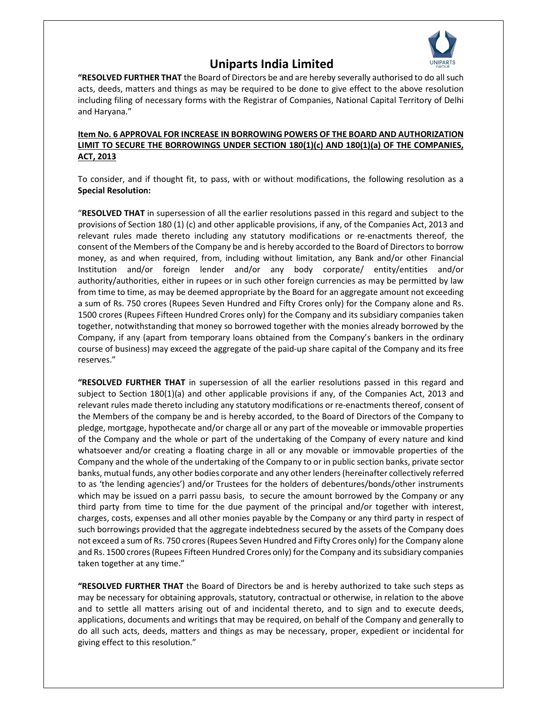

**"RESOLVED FURTHER THAT** the Board of Directors be and are hereby severally authorised to do all such acts, deeds, matters and things as may be required to be done to give effect to the above resolution including filing of necessary forms with the Registrar of Companies, National Capital Territory of Delhi and Haryana."

### **Item No. 6 APPROVAL FOR INCREASE IN BORROWING POWERS OF THE BOARD AND AUTHORIZATION LIMIT TO SECURE THE BORROWINGS UNDER SECTION 180(1)(c) AND 180(1)(a) OF THE COMPANIES, ACT, 2013**

To consider, and if thought fit, to pass, with or without modifications, the following resolution as a **Special Resolution:**

"**RESOLVED THAT** in supersession of all the earlier resolutions passed in this regard and subject to the provisions of Section 180 (1) (c) and other applicable provisions, if any, of the Companies Act, 2013 and relevant rules made thereto including any statutory modifications or re-enactments thereof, the consent of the Members of the Company be and is hereby accorded to the Board of Directors to borrow money, as and when required, from, including without limitation, any Bank and/or other Financial Institution and/or foreign lender and/or any body corporate/ entity/entities and/or authority/authorities, either in rupees or in such other foreign currencies as may be permitted by law from time to time, as may be deemed appropriate by the Board for an aggregate amount not exceeding a sum of Rs. 750 crores (Rupees Seven Hundred and Fifty Crores only) for the Company alone and Rs. 1500 crores (Rupees Fifteen Hundred Crores only) for the Company and its subsidiary companies taken together, notwithstanding that money so borrowed together with the monies already borrowed by the Company, if any (apart from temporary loans obtained from the Company's bankers in the ordinary course of business) may exceed the aggregate of the paid-up share capital of the Company and its free reserves."

**"RESOLVED FURTHER THAT** in supersession of all the earlier resolutions passed in this regard and subject to Section 180(1)(a) and other applicable provisions if any, of the Companies Act, 2013 and relevant rules made thereto including any statutory modifications or re-enactments thereof, consent of the Members of the company be and is hereby accorded, to the Board of Directors of the Company to pledge, mortgage, hypothecate and/or charge all or any part of the moveable or immovable properties of the Company and the whole or part of the undertaking of the Company of every nature and kind whatsoever and/or creating a floating charge in all or any movable or immovable properties of the Company and the whole of the undertaking of the Company to or in public section banks, private sector banks, mutual funds, any other bodies corporate and any other lenders (hereinafter collectively referred to as 'the lending agencies') and/or Trustees for the holders of debentures/bonds/other instruments which may be issued on a parri passu basis, to secure the amount borrowed by the Company or any third party from time to time for the due payment of the principal and/or together with interest, charges, costs, expenses and all other monies payable by the Company or any third party in respect of such borrowings provided that the aggregate indebtedness secured by the assets of the Company does not exceed a sum of Rs. 750 crores (Rupees Seven Hundred and Fifty Crores only) for the Company alone and Rs. 1500 crores (Rupees Fifteen Hundred Crores only) for the Company and its subsidiary companies taken together at any time."

**"RESOLVED FURTHER THAT** the Board of Directors be and is hereby authorized to take such steps as may be necessary for obtaining approvals, statutory, contractual or otherwise, in relation to the above and to settle all matters arising out of and incidental thereto, and to sign and to execute deeds, applications, documents and writings that may be required, on behalf of the Company and generally to do all such acts, deeds, matters and things as may be necessary, proper, expedient or incidental for giving effect to this resolution."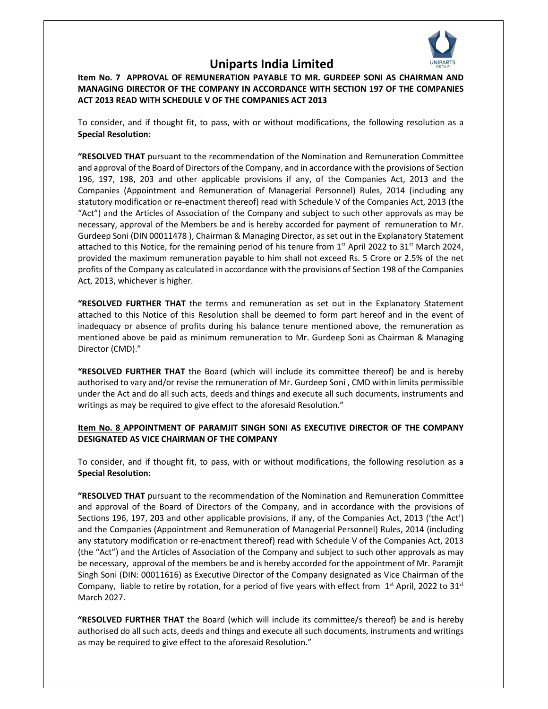

**Item No. 7 APPROVAL OF REMUNERATION PAYABLE TO MR. GURDEEP SONI AS CHAIRMAN AND MANAGING DIRECTOR OF THE COMPANY IN ACCORDANCE WITH SECTION 197 OF THE COMPANIES ACT 2013 READ WITH SCHEDULE V OF THE COMPANIES ACT 2013** 

To consider, and if thought fit, to pass, with or without modifications, the following resolution as a **Special Resolution:** 

**"RESOLVED THAT** pursuant to the recommendation of the Nomination and Remuneration Committee and approval of the Board of Directors of the Company, and in accordance with the provisions of Section 196, 197, 198, 203 and other applicable provisions if any, of the Companies Act, 2013 and the Companies (Appointment and Remuneration of Managerial Personnel) Rules, 2014 (including any statutory modification or re-enactment thereof) read with Schedule V of the Companies Act, 2013 (the "Act") and the Articles of Association of the Company and subject to such other approvals as may be necessary, approval of the Members be and is hereby accorded for payment of remuneration to Mr. Gurdeep Soni (DIN 00011478 ), Chairman & Managing Director, as set out in the Explanatory Statement attached to this Notice, for the remaining period of his tenure from 1<sup>st</sup> April 2022 to 31<sup>st</sup> March 2024, provided the maximum remuneration payable to him shall not exceed Rs. 5 Crore or 2.5% of the net profits of the Company as calculated in accordance with the provisions of Section 198 of the Companies Act, 2013, whichever is higher.

**"RESOLVED FURTHER THAT** the terms and remuneration as set out in the Explanatory Statement attached to this Notice of this Resolution shall be deemed to form part hereof and in the event of inadequacy or absence of profits during his balance tenure mentioned above, the remuneration as mentioned above be paid as minimum remuneration to Mr. Gurdeep Soni as Chairman & Managing Director (CMD)."

**"RESOLVED FURTHER THAT** the Board (which will include its committee thereof) be and is hereby authorised to vary and/or revise the remuneration of Mr. Gurdeep Soni , CMD within limits permissible under the Act and do all such acts, deeds and things and execute all such documents, instruments and writings as may be required to give effect to the aforesaid Resolution."

#### **Item No. 8 APPOINTMENT OF PARAMJIT SINGH SONI AS EXECUTIVE DIRECTOR OF THE COMPANY DESIGNATED AS VICE CHAIRMAN OF THE COMPANY**

To consider, and if thought fit, to pass, with or without modifications, the following resolution as a **Special Resolution:** 

**"RESOLVED THAT** pursuant to the recommendation of the Nomination and Remuneration Committee and approval of the Board of Directors of the Company, and in accordance with the provisions of Sections 196, 197, 203 and other applicable provisions, if any, of the Companies Act, 2013 ('the Act') and the Companies (Appointment and Remuneration of Managerial Personnel) Rules, 2014 (including any statutory modification or re-enactment thereof) read with Schedule V of the Companies Act, 2013 (the "Act") and the Articles of Association of the Company and subject to such other approvals as may be necessary, approval of the members be and is hereby accorded for the appointment of Mr. Paramjit Singh Soni (DIN: 00011616) as Executive Director of the Company designated as Vice Chairman of the Company, liable to retire by rotation, for a period of five years with effect from  $1<sup>st</sup>$  April, 2022 to 31<sup>st</sup> March 2027.

**"RESOLVED FURTHER THAT** the Board (which will include its committee/s thereof) be and is hereby authorised do all such acts, deeds and things and execute all such documents, instruments and writings as may be required to give effect to the aforesaid Resolution."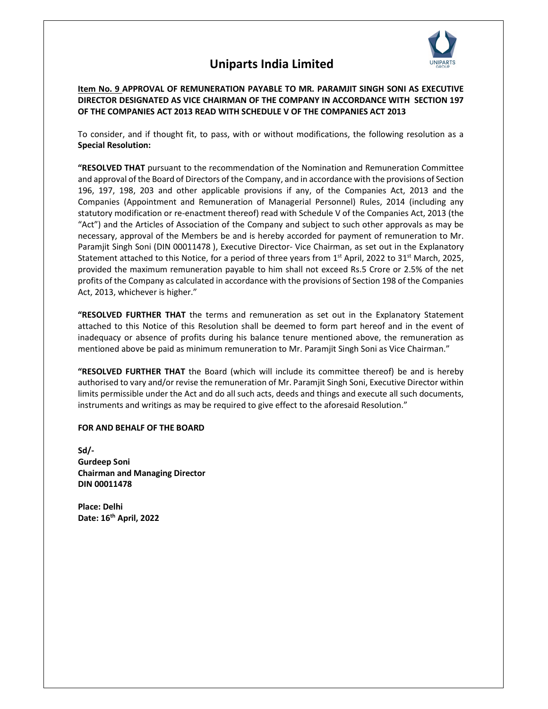

**Item No. 9 APPROVAL OF REMUNERATION PAYABLE TO MR. PARAMJIT SINGH SONI AS EXECUTIVE DIRECTOR DESIGNATED AS VICE CHAIRMAN OF THE COMPANY IN ACCORDANCE WITH SECTION 197 OF THE COMPANIES ACT 2013 READ WITH SCHEDULE V OF THE COMPANIES ACT 2013** 

To consider, and if thought fit, to pass, with or without modifications, the following resolution as a **Special Resolution:** 

**"RESOLVED THAT** pursuant to the recommendation of the Nomination and Remuneration Committee and approval of the Board of Directors of the Company, and in accordance with the provisions of Section 196, 197, 198, 203 and other applicable provisions if any, of the Companies Act, 2013 and the Companies (Appointment and Remuneration of Managerial Personnel) Rules, 2014 (including any statutory modification or re-enactment thereof) read with Schedule V of the Companies Act, 2013 (the "Act") and the Articles of Association of the Company and subject to such other approvals as may be necessary, approval of the Members be and is hereby accorded for payment of remuneration to Mr. Paramjit Singh Soni (DIN 00011478 ), Executive Director- Vice Chairman, as set out in the Explanatory Statement attached to this Notice, for a period of three years from  $1<sup>st</sup>$  April, 2022 to 31<sup>st</sup> March, 2025, provided the maximum remuneration payable to him shall not exceed Rs.5 Crore or 2.5% of the net profits of the Company as calculated in accordance with the provisions of Section 198 of the Companies Act, 2013, whichever is higher."

**"RESOLVED FURTHER THAT** the terms and remuneration as set out in the Explanatory Statement attached to this Notice of this Resolution shall be deemed to form part hereof and in the event of inadequacy or absence of profits during his balance tenure mentioned above, the remuneration as mentioned above be paid as minimum remuneration to Mr. Paramjit Singh Soni as Vice Chairman."

**"RESOLVED FURTHER THAT** the Board (which will include its committee thereof) be and is hereby authorised to vary and/or revise the remuneration of Mr. Paramjit Singh Soni, Executive Director within limits permissible under the Act and do all such acts, deeds and things and execute all such documents, instruments and writings as may be required to give effect to the aforesaid Resolution."

#### **FOR AND BEHALF OF THE BOARD**

**Sd/- Gurdeep Soni Chairman and Managing Director DIN 00011478** 

**Place: Delhi Date: 16th April, 2022**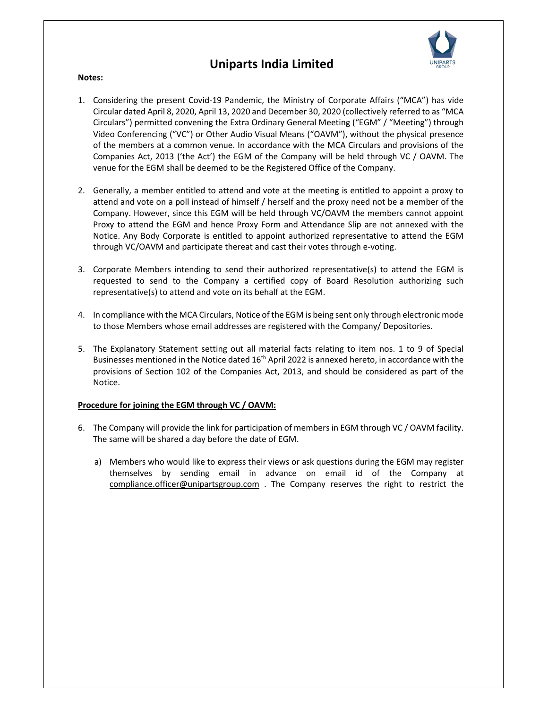

#### **Notes:**

- 1. Considering the present Covid-19 Pandemic, the Ministry of Corporate Affairs ("MCA") has vide Circular dated April 8, 2020, April 13, 2020 and December 30, 2020 (collectively referred to as "MCA Circulars") permitted convening the Extra Ordinary General Meeting ("EGM" / "Meeting") through Video Conferencing ("VC") or Other Audio Visual Means ("OAVM"), without the physical presence of the members at a common venue. In accordance with the MCA Circulars and provisions of the Companies Act, 2013 ('the Act') the EGM of the Company will be held through VC / OAVM. The venue for the EGM shall be deemed to be the Registered Office of the Company.
- 2. Generally, a member entitled to attend and vote at the meeting is entitled to appoint a proxy to attend and vote on a poll instead of himself / herself and the proxy need not be a member of the Company. However, since this EGM will be held through VC/OAVM the members cannot appoint Proxy to attend the EGM and hence Proxy Form and Attendance Slip are not annexed with the Notice. Any Body Corporate is entitled to appoint authorized representative to attend the EGM through VC/OAVM and participate thereat and cast their votes through e-voting.
- 3. Corporate Members intending to send their authorized representative(s) to attend the EGM is requested to send to the Company a certified copy of Board Resolution authorizing such representative(s) to attend and vote on its behalf at the EGM.
- 4. In compliance with the MCA Circulars, Notice of the EGM is being sent only through electronic mode to those Members whose email addresses are registered with the Company/ Depositories.
- 5. The Explanatory Statement setting out all material facts relating to item nos. 1 to 9 of Special Businesses mentioned in the Notice dated 16<sup>th</sup> April 2022 is annexed hereto, in accordance with the provisions of Section 102 of the Companies Act, 2013, and should be considered as part of the Notice.

#### **Procedure for joining the EGM through VC / OAVM:**

- 6. The Company will provide the link for participation of members in EGM through VC / OAVM facility. The same will be shared a day before the date of EGM.
	- a) Members who would like to express their views or ask questions during the EGM may register themselves by sending email in advance on email id of the Company at compliance.officer@unipartsgroup.com . The Company reserves the right to restrict the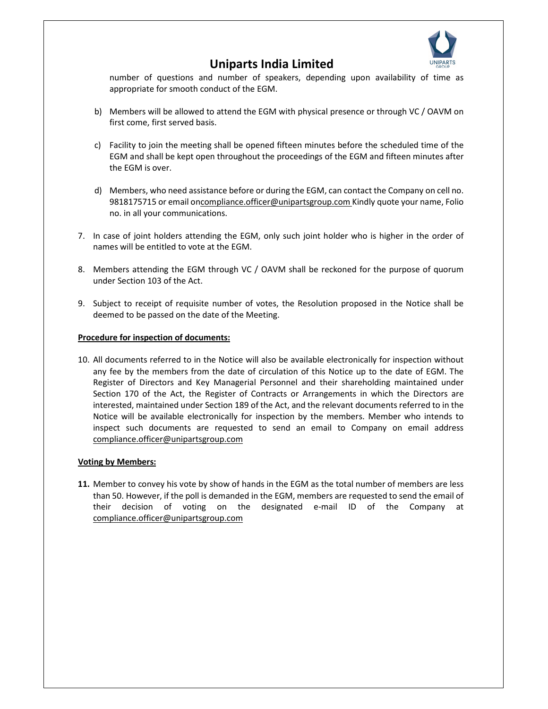

number of questions and number of speakers, depending upon availability of time as appropriate for smooth conduct of the EGM.

- b) Members will be allowed to attend the EGM with physical presence or through VC / OAVM on first come, first served basis.
- c) Facility to join the meeting shall be opened fifteen minutes before the scheduled time of the EGM and shall be kept open throughout the proceedings of the EGM and fifteen minutes after the EGM is over.
- d) Members, who need assistance before or during the EGM, can contact the Company on cell no. 9818175715 or email oncompliance.officer@unipartsgroup.com Kindly quote your name, Folio no. in all your communications.
- 7. In case of joint holders attending the EGM, only such joint holder who is higher in the order of names will be entitled to vote at the EGM.
- 8. Members attending the EGM through VC / OAVM shall be reckoned for the purpose of quorum under Section 103 of the Act.
- 9. Subject to receipt of requisite number of votes, the Resolution proposed in the Notice shall be deemed to be passed on the date of the Meeting.

#### **Procedure for inspection of documents:**

10. All documents referred to in the Notice will also be available electronically for inspection without any fee by the members from the date of circulation of this Notice up to the date of EGM. The Register of Directors and Key Managerial Personnel and their shareholding maintained under Section 170 of the Act, the Register of Contracts or Arrangements in which the Directors are interested, maintained under Section 189 of the Act, and the relevant documents referred to in the Notice will be available electronically for inspection by the members. Member who intends to inspect such documents are requested to send an email to Company on email address compliance.officer@unipartsgroup.com

#### **Voting by Members:**

**11.** Member to convey his vote by show of hands in the EGM as the total number of members are less than 50. However, if the poll is demanded in the EGM, members are requested to send the email of their decision of voting on the designated e-mail ID of the Company at compliance.officer@unipartsgroup.com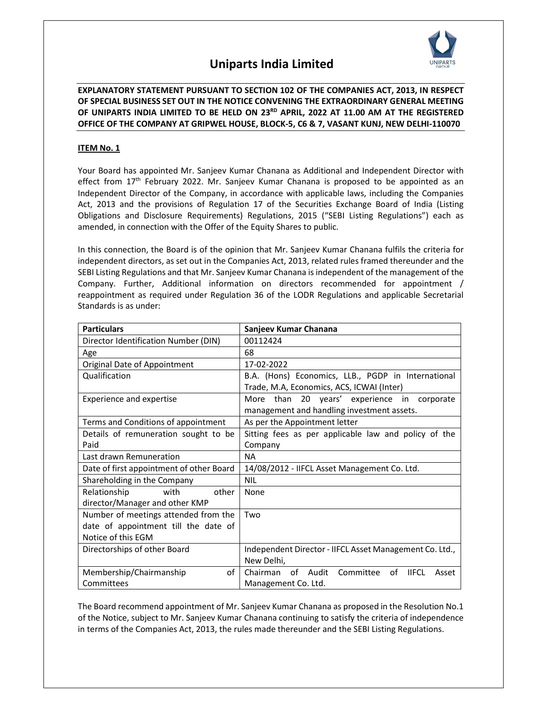

**EXPLANATORY STATEMENT PURSUANT TO SECTION 102 OF THE COMPANIES ACT, 2013, IN RESPECT OF SPECIAL BUSINESS SET OUT IN THE NOTICE CONVENING THE EXTRAORDINARY GENERAL MEETING OF UNIPARTS INDIA LIMITED TO BE HELD ON 23RD APRIL, 2022 AT 11.00 AM AT THE REGISTERED OFFICE OF THE COMPANY AT GRIPWEL HOUSE, BLOCK-5, C6 & 7, VASANT KUNJ, NEW DELHI-110070** 

### **ITEM No. 1**

Your Board has appointed Mr. Sanjeev Kumar Chanana as Additional and Independent Director with effect from  $17<sup>th</sup>$  February 2022. Mr. Sanjeev Kumar Chanana is proposed to be appointed as an Independent Director of the Company, in accordance with applicable laws, including the Companies Act, 2013 and the provisions of Regulation 17 of the Securities Exchange Board of India (Listing Obligations and Disclosure Requirements) Regulations, 2015 ("SEBI Listing Regulations") each as amended, in connection with the Offer of the Equity Shares to public.

In this connection, the Board is of the opinion that Mr. Sanjeev Kumar Chanana fulfils the criteria for independent directors, as set out in the Companies Act, 2013, related rules framed thereunder and the SEBI Listing Regulations and that Mr. Sanjeev Kumar Chanana is independent of the management of the Company. Further, Additional information on directors recommended for appointment / reappointment as required under Regulation 36 of the LODR Regulations and applicable Secretarial Standards is as under:

| <b>Particulars</b>                       | Sanjeev Kumar Chanana                                            |  |
|------------------------------------------|------------------------------------------------------------------|--|
| Director Identification Number (DIN)     | 00112424                                                         |  |
| Age                                      | 68                                                               |  |
| Original Date of Appointment             | 17-02-2022                                                       |  |
| Qualification                            | B.A. (Hons) Economics, LLB., PGDP in International               |  |
|                                          | Trade, M.A, Economics, ACS, ICWAI (Inter)                        |  |
| Experience and expertise                 | More than 20 years' experience in corporate                      |  |
|                                          | management and handling investment assets.                       |  |
| Terms and Conditions of appointment      | As per the Appointment letter                                    |  |
| Details of remuneration sought to be     | Sitting fees as per applicable law and policy of the             |  |
| Paid                                     | Company                                                          |  |
| Last drawn Remuneration                  | NA.                                                              |  |
| Date of first appointment of other Board | 14/08/2012 - IIFCL Asset Management Co. Ltd.                     |  |
| Shareholding in the Company              | <b>NII</b>                                                       |  |
| Relationship<br>other<br>with            | None                                                             |  |
| director/Manager and other KMP           |                                                                  |  |
| Number of meetings attended from the     | Two                                                              |  |
| date of appointment till the date of     |                                                                  |  |
| Notice of this EGM                       |                                                                  |  |
| Directorships of other Board             | Independent Director - IIFCL Asset Management Co. Ltd.,          |  |
|                                          | New Delhi,                                                       |  |
| οf<br>Membership/Chairmanship            | οf<br>Chairman<br>of Audit<br>Committee<br><b>IIFCL</b><br>Asset |  |
| Committees                               | Management Co. Ltd.                                              |  |

The Board recommend appointment of Mr. Sanjeev Kumar Chanana as proposed in the Resolution No.1 of the Notice, subject to Mr. Sanjeev Kumar Chanana continuing to satisfy the criteria of independence in terms of the Companies Act, 2013, the rules made thereunder and the SEBI Listing Regulations.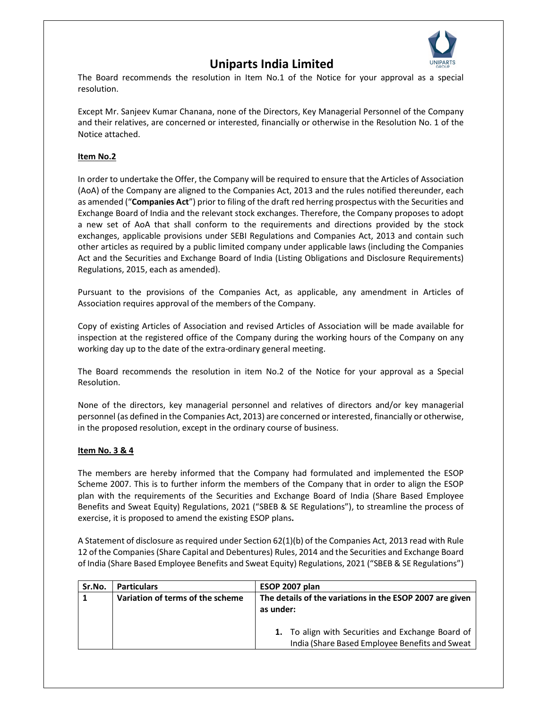

The Board recommends the resolution in Item No.1 of the Notice for your approval as a special resolution.

Except Mr. Sanjeev Kumar Chanana, none of the Directors, Key Managerial Personnel of the Company and their relatives, are concerned or interested, financially or otherwise in the Resolution No. 1 of the Notice attached.

### **Item No.2**

In order to undertake the Offer, the Company will be required to ensure that the Articles of Association (AoA) of the Company are aligned to the Companies Act, 2013 and the rules notified thereunder, each as amended ("**Companies Act**") prior to filing of the draft red herring prospectus with the Securities and Exchange Board of India and the relevant stock exchanges. Therefore, the Company proposes to adopt a new set of AoA that shall conform to the requirements and directions provided by the stock exchanges, applicable provisions under SEBI Regulations and Companies Act, 2013 and contain such other articles as required by a public limited company under applicable laws (including the Companies Act and the Securities and Exchange Board of India (Listing Obligations and Disclosure Requirements) Regulations, 2015, each as amended).

Pursuant to the provisions of the Companies Act, as applicable, any amendment in Articles of Association requires approval of the members of the Company.

Copy of existing Articles of Association and revised Articles of Association will be made available for inspection at the registered office of the Company during the working hours of the Company on any working day up to the date of the extra-ordinary general meeting.

The Board recommends the resolution in item No.2 of the Notice for your approval as a Special Resolution.

None of the directors, key managerial personnel and relatives of directors and/or key managerial personnel (as defined in the Companies Act, 2013) are concerned or interested, financially or otherwise, in the proposed resolution, except in the ordinary course of business.

### **Item No. 3 & 4**

The members are hereby informed that the Company had formulated and implemented the ESOP Scheme 2007. This is to further inform the members of the Company that in order to align the ESOP plan with the requirements of the Securities and Exchange Board of India (Share Based Employee Benefits and Sweat Equity) Regulations, 2021 ("SBEB & SE Regulations"), to streamline the process of exercise, it is proposed to amend the existing ESOP plans**.** 

A Statement of disclosure as required under Section 62(1)(b) of the Companies Act, 2013 read with Rule 12 of the Companies (Share Capital and Debentures) Rules, 2014 and the Securities and Exchange Board of India (Share Based Employee Benefits and Sweat Equity) Regulations, 2021 ("SBEB & SE Regulations")

| Sr.No. | <b>Particulars</b>               | ESOP 2007 plan                                                                                      |  |
|--------|----------------------------------|-----------------------------------------------------------------------------------------------------|--|
|        | Variation of terms of the scheme | The details of the variations in the ESOP 2007 are given<br>as under:                               |  |
|        |                                  | 1. To align with Securities and Exchange Board of<br>India (Share Based Employee Benefits and Sweat |  |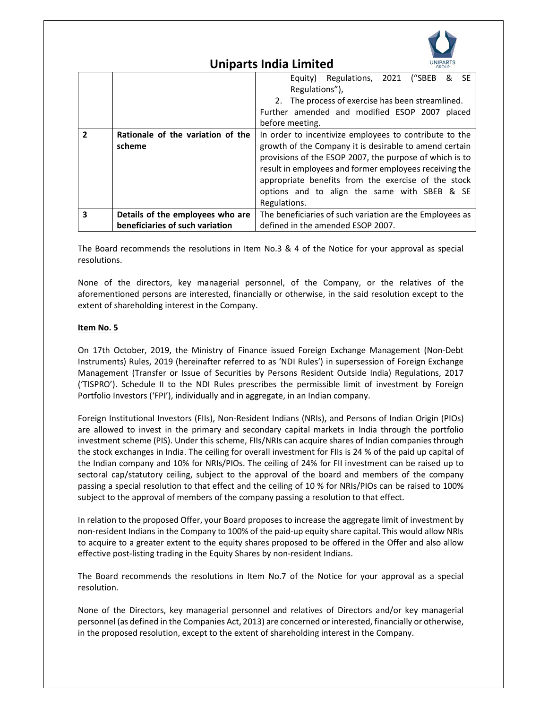

|                          |                                   | Equity) Regulations, 2021 ("SBEB & SE<br>Regulations"),  |  |  |
|--------------------------|-----------------------------------|----------------------------------------------------------|--|--|
|                          |                                   | 2. The process of exercise has been streamlined.         |  |  |
|                          |                                   | Further amended and modified ESOP 2007 placed            |  |  |
|                          |                                   | before meeting.                                          |  |  |
| $\overline{\phantom{a}}$ | Rationale of the variation of the | In order to incentivize employees to contribute to the   |  |  |
|                          | scheme                            | growth of the Company it is desirable to amend certain   |  |  |
|                          |                                   | provisions of the ESOP 2007, the purpose of which is to  |  |  |
|                          |                                   | result in employees and former employees receiving the   |  |  |
|                          |                                   | appropriate benefits from the exercise of the stock      |  |  |
|                          |                                   | options and to align the same with SBEB & SE             |  |  |
|                          |                                   | Regulations.                                             |  |  |
| 3                        | Details of the employees who are  | The beneficiaries of such variation are the Employees as |  |  |
|                          | beneficiaries of such variation   | defined in the amended ESOP 2007.                        |  |  |

The Board recommends the resolutions in Item No.3 & 4 of the Notice for your approval as special resolutions.

None of the directors, key managerial personnel, of the Company, or the relatives of the aforementioned persons are interested, financially or otherwise, in the said resolution except to the extent of shareholding interest in the Company.

#### **Item No. 5**

On 17th October, 2019, the Ministry of Finance issued Foreign Exchange Management (Non-Debt Instruments) Rules, 2019 (hereinafter referred to as 'NDI Rules') in supersession of Foreign Exchange Management (Transfer or Issue of Securities by Persons Resident Outside India) Regulations, 2017 ('TISPRO'). Schedule II to the NDI Rules prescribes the permissible limit of investment by Foreign Portfolio Investors ('FPI'), individually and in aggregate, in an Indian company.

Foreign Institutional Investors (FIIs), Non-Resident Indians (NRIs), and Persons of Indian Origin (PIOs) are allowed to invest in the primary and secondary capital markets in India through the portfolio investment scheme (PIS). Under this scheme, FIIs/NRIs can acquire shares of Indian companies through the stock exchanges in India. The ceiling for overall investment for FIIs is 24 % of the paid up capital of the Indian company and 10% for NRIs/PIOs. The ceiling of 24% for FII investment can be raised up to sectoral cap/statutory ceiling, subject to the approval of the board and members of the company passing a special resolution to that effect and the ceiling of 10 % for NRIs/PIOs can be raised to 100% subject to the approval of members of the company passing a resolution to that effect.

In relation to the proposed Offer, your Board proposes to increase the aggregate limit of investment by non-resident Indians in the Company to 100% of the paid-up equity share capital. This would allow NRIs to acquire to a greater extent to the equity shares proposed to be offered in the Offer and also allow effective post-listing trading in the Equity Shares by non-resident Indians.

The Board recommends the resolutions in Item No.7 of the Notice for your approval as a special resolution.

None of the Directors, key managerial personnel and relatives of Directors and/or key managerial personnel (as defined in the Companies Act, 2013) are concerned or interested, financially or otherwise, in the proposed resolution, except to the extent of shareholding interest in the Company.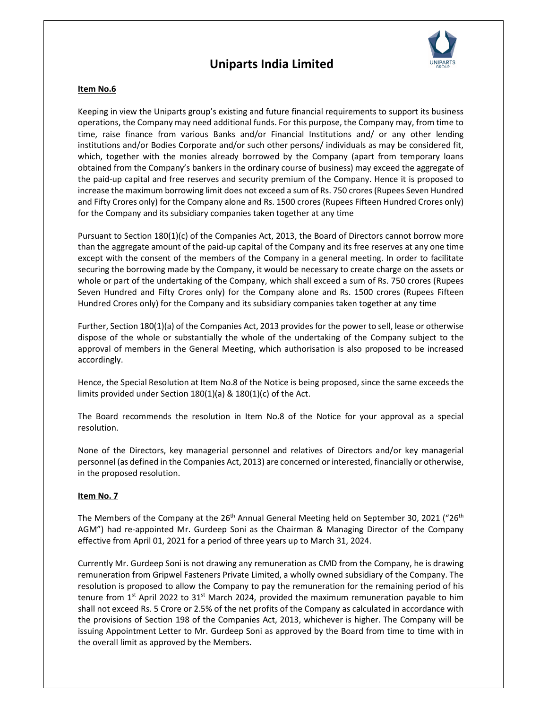

#### **Item No.6**

Keeping in view the Uniparts group's existing and future financial requirements to support its business operations, the Company may need additional funds. For this purpose, the Company may, from time to time, raise finance from various Banks and/or Financial Institutions and/ or any other lending institutions and/or Bodies Corporate and/or such other persons/ individuals as may be considered fit, which, together with the monies already borrowed by the Company (apart from temporary loans obtained from the Company's bankers in the ordinary course of business) may exceed the aggregate of the paid-up capital and free reserves and security premium of the Company. Hence it is proposed to increase the maximum borrowing limit does not exceed a sum of Rs. 750 crores (Rupees Seven Hundred and Fifty Crores only) for the Company alone and Rs. 1500 crores (Rupees Fifteen Hundred Crores only) for the Company and its subsidiary companies taken together at any time

Pursuant to Section 180(1)(c) of the Companies Act, 2013, the Board of Directors cannot borrow more than the aggregate amount of the paid-up capital of the Company and its free reserves at any one time except with the consent of the members of the Company in a general meeting. In order to facilitate securing the borrowing made by the Company, it would be necessary to create charge on the assets or whole or part of the undertaking of the Company, which shall exceed a sum of Rs. 750 crores (Rupees Seven Hundred and Fifty Crores only) for the Company alone and Rs. 1500 crores (Rupees Fifteen Hundred Crores only) for the Company and its subsidiary companies taken together at any time

Further, Section 180(1)(a) of the Companies Act, 2013 provides for the power to sell, lease or otherwise dispose of the whole or substantially the whole of the undertaking of the Company subject to the approval of members in the General Meeting, which authorisation is also proposed to be increased accordingly.

Hence, the Special Resolution at Item No.8 of the Notice is being proposed, since the same exceeds the limits provided under Section 180(1)(a) & 180(1)(c) of the Act.

The Board recommends the resolution in Item No.8 of the Notice for your approval as a special resolution.

None of the Directors, key managerial personnel and relatives of Directors and/or key managerial personnel (as defined in the Companies Act, 2013) are concerned or interested, financially or otherwise, in the proposed resolution.

#### **Item No. 7**

The Members of the Company at the  $26<sup>th</sup>$  Annual General Meeting held on September 30, 2021 ("26<sup>th</sup> AGM") had re-appointed Mr. Gurdeep Soni as the Chairman & Managing Director of the Company effective from April 01, 2021 for a period of three years up to March 31, 2024.

Currently Mr. Gurdeep Soni is not drawing any remuneration as CMD from the Company, he is drawing remuneration from Gripwel Fasteners Private Limited, a wholly owned subsidiary of the Company. The resolution is proposed to allow the Company to pay the remuneration for the remaining period of his tenure from  $1<sup>st</sup>$  April 2022 to  $31<sup>st</sup>$  March 2024, provided the maximum remuneration payable to him shall not exceed Rs. 5 Crore or 2.5% of the net profits of the Company as calculated in accordance with the provisions of Section 198 of the Companies Act, 2013, whichever is higher. The Company will be issuing Appointment Letter to Mr. Gurdeep Soni as approved by the Board from time to time with in the overall limit as approved by the Members.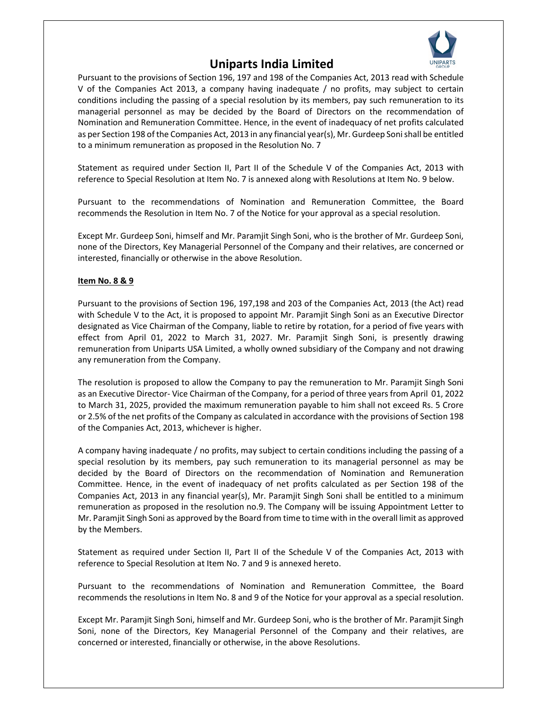

Pursuant to the provisions of Section 196, 197 and 198 of the Companies Act, 2013 read with Schedule V of the Companies Act 2013, a company having inadequate / no profits, may subject to certain conditions including the passing of a special resolution by its members, pay such remuneration to its managerial personnel as may be decided by the Board of Directors on the recommendation of Nomination and Remuneration Committee. Hence, in the event of inadequacy of net profits calculated as per Section 198 of the Companies Act, 2013 in any financial year(s), Mr. Gurdeep Soni shall be entitled to a minimum remuneration as proposed in the Resolution No. 7

Statement as required under Section II, Part II of the Schedule V of the Companies Act, 2013 with reference to Special Resolution at Item No. 7 is annexed along with Resolutions at Item No. 9 below.

Pursuant to the recommendations of Nomination and Remuneration Committee, the Board recommends the Resolution in Item No. 7 of the Notice for your approval as a special resolution.

Except Mr. Gurdeep Soni, himself and Mr. Paramjit Singh Soni, who is the brother of Mr. Gurdeep Soni, none of the Directors, Key Managerial Personnel of the Company and their relatives, are concerned or interested, financially or otherwise in the above Resolution.

#### **Item No. 8 & 9**

Pursuant to the provisions of Section 196, 197,198 and 203 of the Companies Act, 2013 (the Act) read with Schedule V to the Act, it is proposed to appoint Mr. Paramjit Singh Soni as an Executive Director designated as Vice Chairman of the Company, liable to retire by rotation, for a period of five years with effect from April 01, 2022 to March 31, 2027. Mr. Paramjit Singh Soni, is presently drawing remuneration from Uniparts USA Limited, a wholly owned subsidiary of the Company and not drawing any remuneration from the Company.

The resolution is proposed to allow the Company to pay the remuneration to Mr. Paramjit Singh Soni as an Executive Director- Vice Chairman of the Company, for a period of three years from April 01, 2022 to March 31, 2025, provided the maximum remuneration payable to him shall not exceed Rs. 5 Crore or 2.5% of the net profits of the Company as calculated in accordance with the provisions of Section 198 of the Companies Act, 2013, whichever is higher.

A company having inadequate / no profits, may subject to certain conditions including the passing of a special resolution by its members, pay such remuneration to its managerial personnel as may be decided by the Board of Directors on the recommendation of Nomination and Remuneration Committee. Hence, in the event of inadequacy of net profits calculated as per Section 198 of the Companies Act, 2013 in any financial year(s), Mr. Paramjit Singh Soni shall be entitled to a minimum remuneration as proposed in the resolution no.9. The Company will be issuing Appointment Letter to Mr. Paramjit Singh Soni as approved by the Board from time to time with in the overall limit as approved by the Members.

Statement as required under Section II, Part II of the Schedule V of the Companies Act, 2013 with reference to Special Resolution at Item No. 7 and 9 is annexed hereto.

Pursuant to the recommendations of Nomination and Remuneration Committee, the Board recommends the resolutions in Item No. 8 and 9 of the Notice for your approval as a special resolution.

Except Mr. Paramjit Singh Soni, himself and Mr. Gurdeep Soni, who is the brother of Mr. Paramjit Singh Soni, none of the Directors, Key Managerial Personnel of the Company and their relatives, are concerned or interested, financially or otherwise, in the above Resolutions.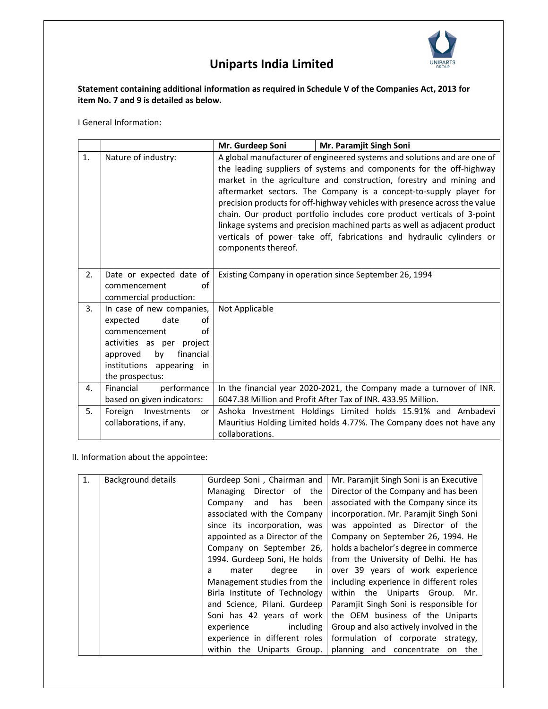

### **Statement containing additional information as required in Schedule V of the Companies Act, 2013 for item No. 7 and 9 is detailed as below.**

I General Information:

|    |                                                                                                                                                                                       | Mr. Gurdeep Soni                                                                                                                                                                                                                                                                                                                                                                                                                                                                                                                                                                                                                 | Mr. Paramjit Singh Soni |
|----|---------------------------------------------------------------------------------------------------------------------------------------------------------------------------------------|----------------------------------------------------------------------------------------------------------------------------------------------------------------------------------------------------------------------------------------------------------------------------------------------------------------------------------------------------------------------------------------------------------------------------------------------------------------------------------------------------------------------------------------------------------------------------------------------------------------------------------|-------------------------|
| 1. | Nature of industry:                                                                                                                                                                   | A global manufacturer of engineered systems and solutions and are one of<br>the leading suppliers of systems and components for the off-highway<br>market in the agriculture and construction, forestry and mining and<br>aftermarket sectors. The Company is a concept-to-supply player for<br>precision products for off-highway vehicles with presence across the value<br>chain. Our product portfolio includes core product verticals of 3-point<br>linkage systems and precision machined parts as well as adjacent product<br>verticals of power take off, fabrications and hydraulic cylinders or<br>components thereof. |                         |
| 2. | Date or expected date of<br>οf<br>commencement<br>commercial production:                                                                                                              | Existing Company in operation since September 26, 1994                                                                                                                                                                                                                                                                                                                                                                                                                                                                                                                                                                           |                         |
| 3. | In case of new companies,<br>of<br>expected<br>date<br>οf<br>commencement<br>activities as per project<br>financial<br>by<br>approved<br>institutions appearing in<br>the prospectus: | Not Applicable                                                                                                                                                                                                                                                                                                                                                                                                                                                                                                                                                                                                                   |                         |
| 4. | Financial<br>performance<br>based on given indicators:                                                                                                                                | In the financial year 2020-2021, the Company made a turnover of INR.<br>6047.38 Million and Profit After Tax of INR. 433.95 Million.                                                                                                                                                                                                                                                                                                                                                                                                                                                                                             |                         |
| 5. | Foreign<br>Investments<br>or<br>collaborations, if any.                                                                                                                               | Ashoka Investment Holdings Limited holds 15.91% and Ambadevi<br>Mauritius Holding Limited holds 4.77%. The Company does not have any<br>collaborations.                                                                                                                                                                                                                                                                                                                                                                                                                                                                          |                         |

II. Information about the appointee:

| 1. | <b>Background details</b> | Gurdeep Soni, Chairman and     | Mr. Paramjit Singh Soni is an Executive |
|----|---------------------------|--------------------------------|-----------------------------------------|
|    |                           | Director of the<br>Managing    | Director of the Company and has been    |
|    |                           | and has been<br>Company        | associated with the Company since its   |
|    |                           | associated with the Company    | incorporation. Mr. Paramjit Singh Soni  |
|    |                           | since its incorporation, was   | was appointed as Director of the        |
|    |                           | appointed as a Director of the | Company on September 26, 1994. He       |
|    |                           | Company on September 26,       | holds a bachelor's degree in commerce   |
|    |                           | 1994. Gurdeep Soni, He holds   | from the University of Delhi. He has    |
|    |                           | mater<br>degree<br>in<br>a     | over 39 years of work experience        |
|    |                           | Management studies from the    | including experience in different roles |
|    |                           | Birla Institute of Technology  | within the Uniparts Group. Mr.          |
|    |                           | and Science, Pilani. Gurdeep   | Paramjit Singh Soni is responsible for  |
|    |                           | Soni has 42 years of work      | the OEM business of the Uniparts        |
|    |                           | experience<br>including        | Group and also actively involved in the |
|    |                           | experience in different roles  | formulation of corporate strategy,      |
|    |                           | within the Uniparts Group.     | planning and concentrate<br>the<br>on   |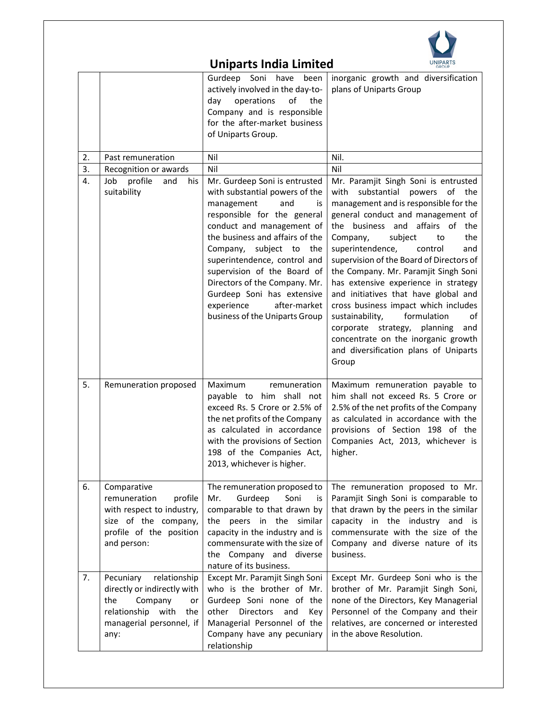

|                  | <b>Uniparts India Limited</b><br><b>UNIPARTS</b>                                                                                                    |                                                                                                                                                                                                                                                                                                                                                                                                                       |                                                                                                                                                                                                                                                                                                                                                                                                                                                                                                                                                                                                                                                             |
|------------------|-----------------------------------------------------------------------------------------------------------------------------------------------------|-----------------------------------------------------------------------------------------------------------------------------------------------------------------------------------------------------------------------------------------------------------------------------------------------------------------------------------------------------------------------------------------------------------------------|-------------------------------------------------------------------------------------------------------------------------------------------------------------------------------------------------------------------------------------------------------------------------------------------------------------------------------------------------------------------------------------------------------------------------------------------------------------------------------------------------------------------------------------------------------------------------------------------------------------------------------------------------------------|
|                  |                                                                                                                                                     | Gurdeep Soni have<br>been<br>actively involved in the day-to-<br>day<br>operations<br>οf<br>the<br>Company and is responsible<br>for the after-market business<br>of Uniparts Group.                                                                                                                                                                                                                                  | inorganic growth and diversification<br>plans of Uniparts Group                                                                                                                                                                                                                                                                                                                                                                                                                                                                                                                                                                                             |
| 2.               | Past remuneration                                                                                                                                   | Nil                                                                                                                                                                                                                                                                                                                                                                                                                   | Nil.                                                                                                                                                                                                                                                                                                                                                                                                                                                                                                                                                                                                                                                        |
| 3.               | Recognition or awards                                                                                                                               | Nil                                                                                                                                                                                                                                                                                                                                                                                                                   | Nil                                                                                                                                                                                                                                                                                                                                                                                                                                                                                                                                                                                                                                                         |
| $\overline{4}$ . | Job profile<br>and<br>his<br>suitability                                                                                                            | Mr. Gurdeep Soni is entrusted<br>with substantial powers of the<br>management<br>and<br>is<br>responsible for the general<br>conduct and management of<br>the business and affairs of the<br>Company, subject to<br>the<br>superintendence, control and<br>supervision of the Board of<br>Directors of the Company. Mr.<br>Gurdeep Soni has extensive<br>after-market<br>experience<br>business of the Uniparts Group | Mr. Paramjit Singh Soni is entrusted<br>with substantial powers of the<br>management and is responsible for the<br>general conduct and management of<br>the business and<br>affairs of the<br>the<br>Company,<br>subject<br>to<br>superintendence,<br>control<br>and<br>supervision of the Board of Directors of<br>the Company. Mr. Paramjit Singh Soni<br>has extensive experience in strategy<br>and initiatives that have global and<br>cross business impact which includes<br>formulation<br>sustainability,<br>of<br>planning<br>corporate strategy,<br>and<br>concentrate on the inorganic growth<br>and diversification plans of Uniparts<br>Group |
| 5.               | Remuneration proposed                                                                                                                               | Maximum<br>remuneration<br>payable to him shall not<br>exceed Rs. 5 Crore or 2.5% of<br>the net profits of the Company<br>as calculated in accordance<br>with the provisions of Section<br>198 of the Companies Act,<br>2013, whichever is higher.                                                                                                                                                                    | Maximum remuneration payable to<br>him shall not exceed Rs. 5 Crore or<br>2.5% of the net profits of the Company<br>as calculated in accordance with the<br>provisions of Section 198 of the<br>Companies Act, 2013, whichever is<br>higher.                                                                                                                                                                                                                                                                                                                                                                                                                |
| 6.               | Comparative<br>remuneration<br>profile<br>with respect to industry,<br>size of the company,<br>profile of the position<br>and person:               | The remuneration proposed to<br>Gurdeep<br>Mr.<br>Soni<br>is<br>comparable to that drawn by<br>the peers in the similar<br>capacity in the industry and is<br>commensurate with the size of<br>the Company and diverse<br>nature of its business.                                                                                                                                                                     | The remuneration proposed to Mr.<br>Paramjit Singh Soni is comparable to<br>that drawn by the peers in the similar<br>capacity in the industry and is<br>commensurate with the size of the<br>Company and diverse nature of its<br>business.                                                                                                                                                                                                                                                                                                                                                                                                                |
| 7.               | Pecuniary<br>relationship<br>directly or indirectly with<br>Company<br>the<br>or<br>relationship<br>with<br>the<br>managerial personnel, if<br>any: | Except Mr. Paramjit Singh Soni<br>who is the brother of Mr.<br>Gurdeep Soni none of the<br><b>Directors</b><br>other<br>and<br>Key<br>Managerial Personnel of the<br>Company have any pecuniary<br>relationship                                                                                                                                                                                                       | Except Mr. Gurdeep Soni who is the<br>brother of Mr. Paramjit Singh Soni,<br>none of the Directors, Key Managerial<br>Personnel of the Company and their<br>relatives, are concerned or interested<br>in the above Resolution.                                                                                                                                                                                                                                                                                                                                                                                                                              |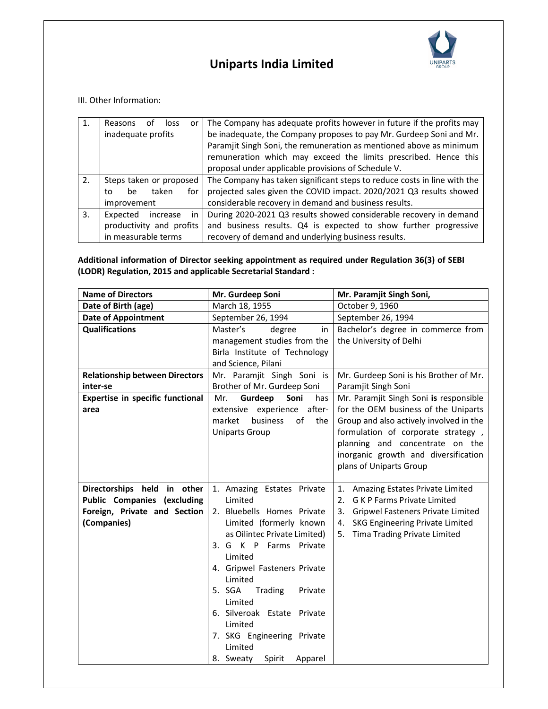

III. Other Information:

| 1. | Reasons<br>loss<br>or<br>nt.<br>inadequate profits                            | The Company has adequate profits however in future if the profits may<br>be inadequate, the Company proposes to pay Mr. Gurdeep Soni and Mr.<br>Paramjit Singh Soni, the remuneration as mentioned above as minimum<br>remuneration which may exceed the limits prescribed. Hence this<br>proposal under applicable provisions of Schedule V. |  |
|----|-------------------------------------------------------------------------------|-----------------------------------------------------------------------------------------------------------------------------------------------------------------------------------------------------------------------------------------------------------------------------------------------------------------------------------------------|--|
| 2. | Steps taken or proposed<br>taken<br>for<br>to<br>be<br>improvement            | The Company has taken significant steps to reduce costs in line with the<br>projected sales given the COVID impact. 2020/2021 Q3 results showed<br>considerable recovery in demand and business results.                                                                                                                                      |  |
| 3. | Expected<br>increase<br>in<br>productivity and profits<br>in measurable terms | During 2020-2021 Q3 results showed considerable recovery in demand<br>and business results. Q4 is expected to show further progressive<br>recovery of demand and underlying business results.                                                                                                                                                 |  |

### **Additional information of Director seeking appointment as required under Regulation 36(3) of SEBI (LODR) Regulation, 2015 and applicable Secretarial Standard :**

| <b>Name of Directors</b>                                                                                         | Mr. Gurdeep Soni                                                                                                                                                                                                                                                                                                                                                               | Mr. Paramjit Singh Soni,                                                                                                                                                                                                                                              |
|------------------------------------------------------------------------------------------------------------------|--------------------------------------------------------------------------------------------------------------------------------------------------------------------------------------------------------------------------------------------------------------------------------------------------------------------------------------------------------------------------------|-----------------------------------------------------------------------------------------------------------------------------------------------------------------------------------------------------------------------------------------------------------------------|
| Date of Birth (age)                                                                                              | March 18, 1955                                                                                                                                                                                                                                                                                                                                                                 | October 9, 1960                                                                                                                                                                                                                                                       |
| <b>Date of Appointment</b>                                                                                       | September 26, 1994                                                                                                                                                                                                                                                                                                                                                             | September 26, 1994                                                                                                                                                                                                                                                    |
| <b>Qualifications</b>                                                                                            | Master's<br>degree<br>in<br>management studies from the<br>Birla Institute of Technology<br>and Science, Pilani                                                                                                                                                                                                                                                                | Bachelor's degree in commerce from<br>the University of Delhi                                                                                                                                                                                                         |
| <b>Relationship between Directors</b>                                                                            | Mr. Paramjit Singh Soni is                                                                                                                                                                                                                                                                                                                                                     | Mr. Gurdeep Soni is his Brother of Mr.                                                                                                                                                                                                                                |
| inter-se                                                                                                         | Brother of Mr. Gurdeep Soni                                                                                                                                                                                                                                                                                                                                                    | Paramjit Singh Soni                                                                                                                                                                                                                                                   |
| Expertise in specific functional<br>area                                                                         | Mr.<br>Gurdeep<br>Soni<br>has<br>after-<br>extensive experience<br>of<br>market<br>business<br>the<br><b>Uniparts Group</b>                                                                                                                                                                                                                                                    | Mr. Paramjit Singh Soni is responsible<br>for the OEM business of the Uniparts<br>Group and also actively involved in the<br>formulation of corporate strategy,<br>planning and concentrate on the<br>inorganic growth and diversification<br>plans of Uniparts Group |
| Directorships held in other<br><b>Public Companies (excluding</b><br>Foreign, Private and Section<br>(Companies) | 1. Amazing Estates Private<br>Limited<br>2. Bluebells Homes Private<br>Limited (formerly known<br>as Oilintec Private Limited)<br>3. G K P Farms Private<br>Limited<br>4. Gripwel Fasteners Private<br>Limited<br>5. SGA<br>Trading<br>Private<br>Limited<br>6. Silveroak Estate Private<br>Limited<br>7. SKG Engineering Private<br>Limited<br>Spirit<br>8. Sweaty<br>Apparel | Amazing Estates Private Limited<br>1.<br><b>GKP Farms Private Limited</b><br>2.<br>3.<br>Gripwel Fasteners Private Limited<br>SKG Engineering Private Limited<br>4.<br>Tima Trading Private Limited<br>5.                                                             |